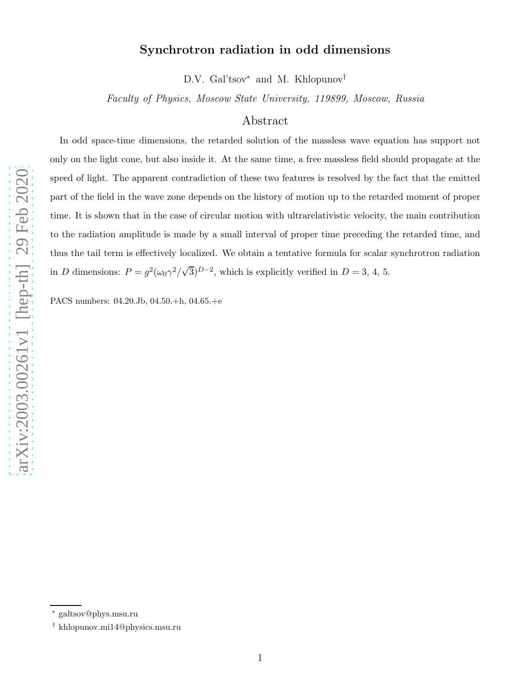# Synchrotron radiation in odd dimensions

D.V. Gal'tsov<sup>\*</sup> and M. Khlopunov<sup>†</sup>

Faculty of Physics, Moscow State University, 119899, Moscow, Russia

## Abstract

In odd space-time dimensions, the retarded solution of the massless wave equation has support not only on the light cone, but also inside it. At the same time, a free massless field should propagate at the speed of light. The apparent contradiction of these two features is resolved by the fact that the emitted part of the field in the wave zone depends on the history of motion up to the retarded moment of proper time. It is shown that in the case of circular motion with ultrarelativistic velocity, the main contribution to the radiation amplitude is made by a small interval of proper time preceding the retarded time, and thus the tail term is effectively localized. We obtain a tentative formula for scalar synchrotron radiation in D dimensions:  $P = g^2(\omega_0 \gamma^2/\sqrt{3})^{D-2}$ , which is explicitly verified in  $D = 3, 4, 5$ .

PACS numbers: 04.20.Jb, 04.50.+h, 04.65.+e

<sup>∗</sup> galtsov@phys.msu.ru

<sup>†</sup> khlopunov.mi14@physics.msu.ru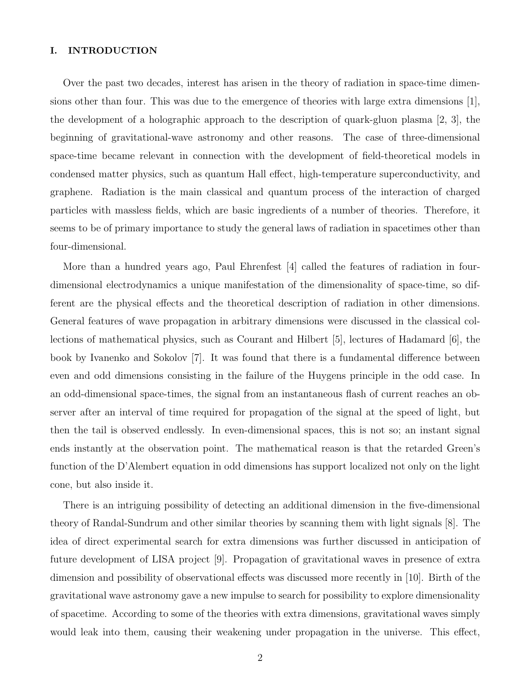### I. INTRODUCTION

Over the past two decades, interest has arisen in the theory of radiation in space-time dimensions other than four. This was due to the emergence of theories with large extra dimensions [1], the development of a holographic approach to the description of quark-gluon plasma [2, 3], the beginning of gravitational-wave astronomy and other reasons. The case of three-dimensional space-time became relevant in connection with the development of field-theoretical models in condensed matter physics, such as quantum Hall effect, high-temperature superconductivity, and graphene. Radiation is the main classical and quantum process of the interaction of charged particles with massless fields, which are basic ingredients of a number of theories. Therefore, it seems to be of primary importance to study the general laws of radiation in spacetimes other than four-dimensional.

More than a hundred years ago, Paul Ehrenfest [4] called the features of radiation in fourdimensional electrodynamics a unique manifestation of the dimensionality of space-time, so different are the physical effects and the theoretical description of radiation in other dimensions. General features of wave propagation in arbitrary dimensions were discussed in the classical collections of mathematical physics, such as Courant and Hilbert [5], lectures of Hadamard [6], the book by Ivanenko and Sokolov [7]. It was found that there is a fundamental difference between even and odd dimensions consisting in the failure of the Huygens principle in the odd case. In an odd-dimensional space-times, the signal from an instantaneous flash of current reaches an observer after an interval of time required for propagation of the signal at the speed of light, but then the tail is observed endlessly. In even-dimensional spaces, this is not so; an instant signal ends instantly at the observation point. The mathematical reason is that the retarded Green's function of the D'Alembert equation in odd dimensions has support localized not only on the light cone, but also inside it.

There is an intriguing possibility of detecting an additional dimension in the five-dimensional theory of Randal-Sundrum and other similar theories by scanning them with light signals [8]. The idea of direct experimental search for extra dimensions was further discussed in anticipation of future development of LISA project [9]. Propagation of gravitational waves in presence of extra dimension and possibility of observational effects was discussed more recently in [10]. Birth of the gravitational wave astronomy gave a new impulse to search for possibility to explore dimensionality of spacetime. According to some of the theories with extra dimensions, gravitational waves simply would leak into them, causing their weakening under propagation in the universe. This effect,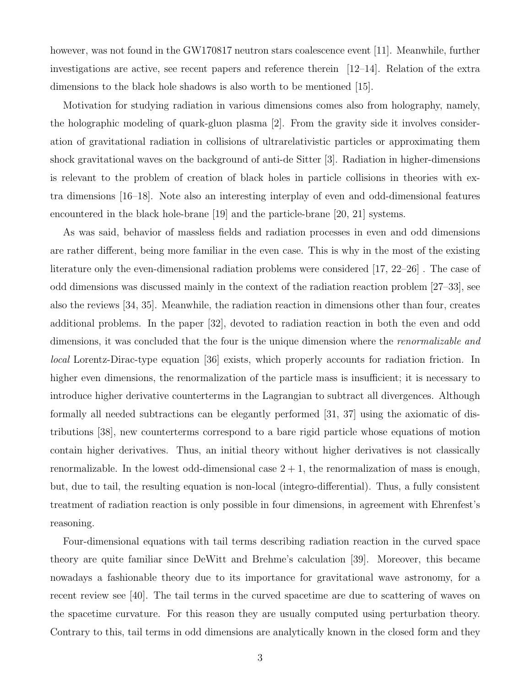however, was not found in the GW170817 neutron stars coalescence event [11]. Meanwhile, further investigations are active, see recent papers and reference therein [12–14]. Relation of the extra dimensions to the black hole shadows is also worth to be mentioned [15].

Motivation for studying radiation in various dimensions comes also from holography, namely, the holographic modeling of quark-gluon plasma [2]. From the gravity side it involves consideration of gravitational radiation in collisions of ultrarelativistic particles or approximating them shock gravitational waves on the background of anti-de Sitter [3]. Radiation in higher-dimensions is relevant to the problem of creation of black holes in particle collisions in theories with extra dimensions [16–18]. Note also an interesting interplay of even and odd-dimensional features encountered in the black hole-brane [19] and the particle-brane [20, 21] systems.

As was said, behavior of massless fields and radiation processes in even and odd dimensions are rather different, being more familiar in the even case. This is why in the most of the existing literature only the even-dimensional radiation problems were considered [17, 22–26] . The case of odd dimensions was discussed mainly in the context of the radiation reaction problem [27–33], see also the reviews [34, 35]. Meanwhile, the radiation reaction in dimensions other than four, creates additional problems. In the paper [32], devoted to radiation reaction in both the even and odd dimensions, it was concluded that the four is the unique dimension where the *renormalizable and* local Lorentz-Dirac-type equation [36] exists, which properly accounts for radiation friction. In higher even dimensions, the renormalization of the particle mass is insufficient; it is necessary to introduce higher derivative counterterms in the Lagrangian to subtract all divergences. Although formally all needed subtractions can be elegantly performed [31, 37] using the axiomatic of distributions [38], new counterterms correspond to a bare rigid particle whose equations of motion contain higher derivatives. Thus, an initial theory without higher derivatives is not classically renormalizable. In the lowest odd-dimensional case  $2 + 1$ , the renormalization of mass is enough, but, due to tail, the resulting equation is non-local (integro-differential). Thus, a fully consistent treatment of radiation reaction is only possible in four dimensions, in agreement with Ehrenfest's reasoning.

Four-dimensional equations with tail terms describing radiation reaction in the curved space theory are quite familiar since DeWitt and Brehme's calculation [39]. Moreover, this became nowadays a fashionable theory due to its importance for gravitational wave astronomy, for a recent review see [40]. The tail terms in the curved spacetime are due to scattering of waves on the spacetime curvature. For this reason they are usually computed using perturbation theory. Contrary to this, tail terms in odd dimensions are analytically known in the closed form and they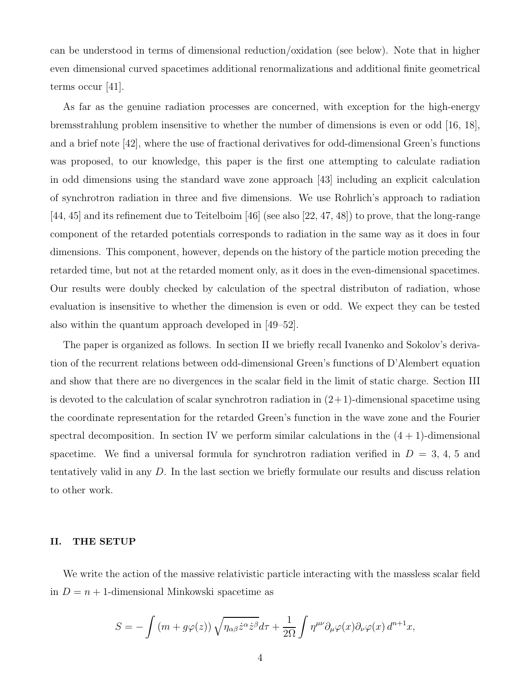can be understood in terms of dimensional reduction/oxidation (see below). Note that in higher even dimensional curved spacetimes additional renormalizations and additional finite geometrical terms occur [41].

As far as the genuine radiation processes are concerned, with exception for the high-energy bremsstrahlung problem insensitive to whether the number of dimensions is even or odd [16, 18], and a brief note [42], where the use of fractional derivatives for odd-dimensional Green's functions was proposed, to our knowledge, this paper is the first one attempting to calculate radiation in odd dimensions using the standard wave zone approach [43] including an explicit calculation of synchrotron radiation in three and five dimensions. We use Rohrlich's approach to radiation [44, 45] and its refinement due to Teitelboim [46] (see also [22, 47, 48]) to prove, that the long-range component of the retarded potentials corresponds to radiation in the same way as it does in four dimensions. This component, however, depends on the history of the particle motion preceding the retarded time, but not at the retarded moment only, as it does in the even-dimensional spacetimes. Our results were doubly checked by calculation of the spectral distributon of radiation, whose evaluation is insensitive to whether the dimension is even or odd. We expect they can be tested also within the quantum approach developed in [49–52].

The paper is organized as follows. In section II we briefly recall Ivanenko and Sokolov's derivation of the recurrent relations between odd-dimensional Green's functions of D'Alembert equation and show that there are no divergences in the scalar field in the limit of static charge. Section III is devoted to the calculation of scalar synchrotron radiation in  $(2+1)$ -dimensional spacetime using the coordinate representation for the retarded Green's function in the wave zone and the Fourier spectral decomposition. In section IV we perform similar calculations in the  $(4 + 1)$ -dimensional spacetime. We find a universal formula for synchrotron radiation verified in  $D = 3, 4, 5$  and tentatively valid in any D. In the last section we briefly formulate our results and discuss relation to other work.

### II. THE SETUP

We write the action of the massive relativistic particle interacting with the massless scalar field in  $D = n + 1$ -dimensional Minkowski spacetime as

$$
S = -\int (m + g\varphi(z)) \sqrt{\eta_{\alpha\beta} \dot{z}^{\alpha} \dot{z}^{\beta}} d\tau + \frac{1}{2\Omega} \int \eta^{\mu\nu} \partial_{\mu}\varphi(x) \partial_{\nu}\varphi(x) d^{n+1}x,
$$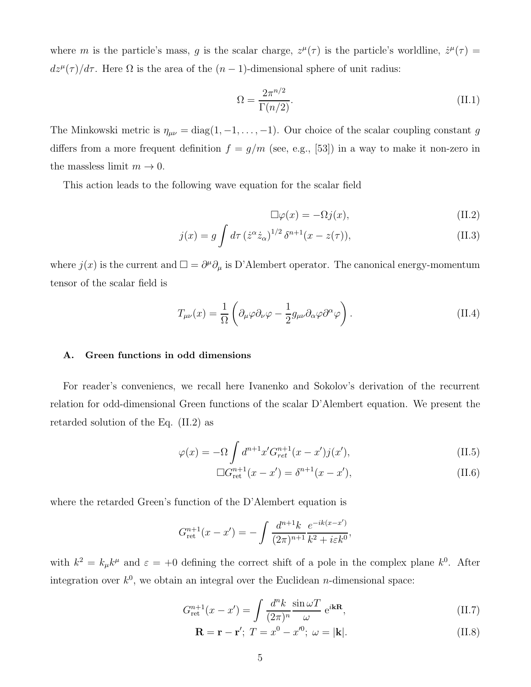where m is the particle's mass, g is the scalar charge,  $z^{\mu}(\tau)$  is the particle's worldline,  $\dot{z}^{\mu}(\tau)$  =  $dz^{\mu}(\tau)/d\tau$ . Here  $\Omega$  is the area of the  $(n-1)$ -dimensional sphere of unit radius:

$$
\Omega = \frac{2\pi^{n/2}}{\Gamma(n/2)}.
$$
\n(II.1)

The Minkowski metric is  $\eta_{\mu\nu} = \text{diag}(1, -1, \dots, -1)$ . Our choice of the scalar coupling constant g differs from a more frequent definition  $f = g/m$  (see, e.g., [53]) in a way to make it non-zero in the massless limit  $m \to 0$ .

This action leads to the following wave equation for the scalar field

$$
\Box \varphi(x) = -\Omega j(x),\tag{II.2}
$$

$$
j(x) = g \int d\tau \left(\dot{z}^{\alpha} \dot{z}_{\alpha}\right)^{1/2} \delta^{n+1}(x - z(\tau)), \tag{II.3}
$$

where  $j(x)$  is the current and  $\square = \partial^{\mu}\partial_{\mu}$  is D'Alembert operator. The canonical energy-momentum tensor of the scalar field is

$$
T_{\mu\nu}(x) = \frac{1}{\Omega} \left( \partial_{\mu}\varphi \partial_{\nu}\varphi - \frac{1}{2}g_{\mu\nu}\partial_{\alpha}\varphi \partial^{\alpha}\varphi \right).
$$
 (II.4)

### A. Green functions in odd dimensions

For reader's conveniencs, we recall here Ivanenko and Sokolov's derivation of the recurrent relation for odd-dimensional Green functions of the scalar D'Alembert equation. We present the retarded solution of the Eq. (II.2) as

$$
\varphi(x) = -\Omega \int d^{n+1}x' G_{ret}^{n+1}(x - x') j(x'), \qquad (II.5)
$$

$$
\Box G_{\text{ret}}^{n+1}(x - x') = \delta^{n+1}(x - x'),\tag{II.6}
$$

where the retarded Green's function of the D'Alembert equation is

$$
G_{\rm ret}^{n+1}(x-x') = -\int \frac{d^{n+1}k}{(2\pi)^{n+1}} \frac{e^{-ik(x-x')}}{k^2 + i\varepsilon k^0},
$$

with  $k^2 = k_\mu k^\mu$  and  $\varepsilon = +0$  defining the correct shift of a pole in the complex plane  $k^0$ . After integration over  $k^0$ , we obtain an integral over the Euclidean *n*-dimensional space:

$$
G_{\rm ret}^{n+1}(x-x') = \int \frac{d^n k}{(2\pi)^n} \frac{\sin \omega T}{\omega} e^{i\mathbf{k} \mathbf{R}},\tag{II.7}
$$

$$
\mathbf{R} = \mathbf{r} - \mathbf{r}'; T = x^0 - x^0; \ \omega = |\mathbf{k}|. \tag{II.8}
$$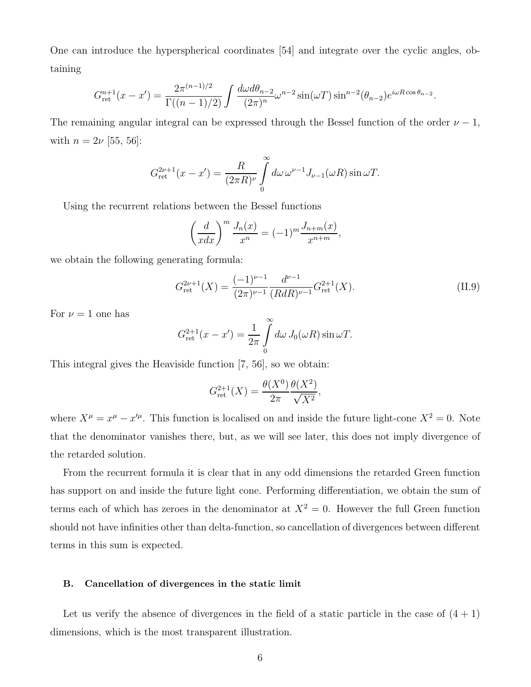One can introduce the hyperspherical coordinates [54] and integrate over the cyclic angles, obtaining

$$
G_{\rm ret}^{n+1}(x-x') = \frac{2\pi^{(n-1)/2}}{\Gamma((n-1)/2)} \int \frac{d\omega d\theta_{n-2}}{(2\pi)^n} \omega^{n-2} \sin(\omega T) \sin^{n-2}(\theta_{n-2}) e^{i\omega R \cos\theta_{n-2}}.
$$

The remaining angular integral can be expressed through the Bessel function of the order  $\nu - 1$ , with  $n = 2\nu$  [55, 56]:

$$
G_{\rm ret}^{2\nu+1}(x-x') = \frac{R}{(2\pi R)^{\nu}} \int\limits_0^\infty d\omega \, \omega^{\nu-1} J_{\nu-1}(\omega R) \sin \omega T.
$$

Using the recurrent relations between the Bessel functions

$$
\left(\frac{d}{xdx}\right)^m \frac{J_n(x)}{x^n} = (-1)^m \frac{J_{n+m}(x)}{x^{n+m}},
$$

we obtain the following generating formula:

$$
G_{\rm ret}^{2\nu+1}(X) = \frac{(-1)^{\nu-1}}{(2\pi)^{\nu-1}} \frac{d^{\nu-1}}{(RdR)^{\nu-1}} G_{\rm ret}^{2+1}(X). \tag{II.9}
$$

For  $\nu = 1$  one has

$$
G_{\rm ret}^{2+1}(x-x') = \frac{1}{2\pi} \int\limits_0^\infty d\omega \, J_0(\omega R) \sin \omega T.
$$

This integral gives the Heaviside function [7, 56], so we obtain:

$$
G_{\rm ret}^{2+1}(X) = \frac{\theta(X^0)}{2\pi} \frac{\theta(X^2)}{\sqrt{X^2}},
$$

where  $X^{\mu} = x^{\mu} - x'^{\mu}$ . This function is localised on and inside the future light-cone  $X^2 = 0$ . Note that the denominator vanishes there, but, as we will see later, this does not imply divergence of the retarded solution.

From the recurrent formula it is clear that in any odd dimensions the retarded Green function has support on and inside the future light cone. Performing differentiation, we obtain the sum of terms each of which has zeroes in the denominator at  $X^2 = 0$ . However the full Green function should not have infinities other than delta-function, so cancellation of divergences between different terms in this sum is expected.

#### B. Cancellation of divergences in the static limit

Let us verify the absence of divergences in the field of a static particle in the case of  $(4 + 1)$ dimensions, which is the most transparent illustration.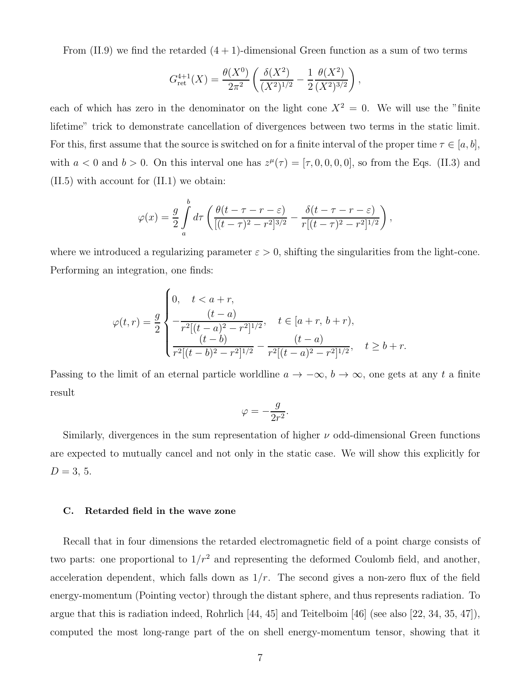From  $(II.9)$  we find the retarded  $(4 + 1)$ -dimensional Green function as a sum of two terms

$$
G_{\rm ret}^{4+1}(X) = \frac{\theta(X^0)}{2\pi^2} \left( \frac{\delta(X^2)}{(X^2)^{1/2}} - \frac{1}{2} \frac{\theta(X^2)}{(X^2)^{3/2}} \right),
$$

each of which has zero in the denominator on the light cone  $X^2 = 0$ . We will use the "finite" lifetime" trick to demonstrate cancellation of divergences between two terms in the static limit. For this, first assume that the source is switched on for a finite interval of the proper time  $\tau \in [a, b]$ , with  $a < 0$  and  $b > 0$ . On this interval one has  $z^{\mu}(\tau) = [\tau, 0, 0, 0, 0]$ , so from the Eqs. (II.3) and (II.5) with account for (II.1) we obtain:

$$
\varphi(x) = \frac{g}{2} \int_{a}^{b} d\tau \left( \frac{\theta(t-\tau-r-\varepsilon)}{[(t-\tau)^{2}-r^{2}]^{3/2}} - \frac{\delta(t-\tau-r-\varepsilon)}{r[(t-\tau)^{2}-r^{2}]^{1/2}} \right),
$$

where we introduced a regularizing parameter  $\varepsilon > 0$ , shifting the singularities from the light-cone. Performing an integration, one finds:

$$
\varphi(t,r) = \frac{g}{2} \begin{cases} 0, & t < a+r, \\ \frac{(t-a)}{r^2[(t-a)^2 - r^2]^{1/2}}, & t \in [a+r, b+r), \\ \frac{(t-b)}{r^2[(t-b)^2 - r^2]^{1/2}} - \frac{(t-a)}{r^2[(t-a)^2 - r^2]^{1/2}}, & t \ge b+r. \end{cases}
$$

Passing to the limit of an eternal particle worldline  $a \to -\infty$ ,  $b \to \infty$ , one gets at any t a finite result

$$
\varphi = -\frac{g}{2r^2}.
$$

Similarly, divergences in the sum representation of higher  $\nu$  odd-dimensional Green functions are expected to mutually cancel and not only in the static case. We will show this explicitly for  $D = 3, 5.$ 

### C. Retarded field in the wave zone

Recall that in four dimensions the retarded electromagnetic field of a point charge consists of two parts: one proportional to  $1/r^2$  and representing the deformed Coulomb field, and another, acceleration dependent, which falls down as  $1/r$ . The second gives a non-zero flux of the field energy-momentum (Pointing vector) through the distant sphere, and thus represents radiation. To argue that this is radiation indeed, Rohrlich [44, 45] and Teitelboim [46] (see also [22, 34, 35, 47]), computed the most long-range part of the on shell energy-momentum tensor, showing that it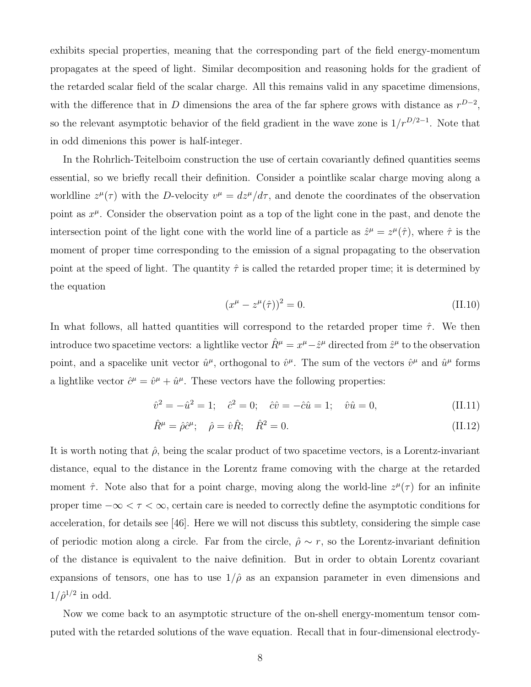exhibits special properties, meaning that the corresponding part of the field energy-momentum propagates at the speed of light. Similar decomposition and reasoning holds for the gradient of the retarded scalar field of the scalar charge. All this remains valid in any spacetime dimensions, with the difference that in D dimensions the area of the far sphere grows with distance as  $r^{D-2}$ , so the relevant asymptotic behavior of the field gradient in the wave zone is  $1/r^{D/2-1}$ . Note that in odd dimenions this power is half-integer.

In the Rohrlich-Teitelboim construction the use of certain covariantly defined quantities seems essential, so we briefly recall their definition. Consider a pointlike scalar charge moving along a worldline  $z^{\mu}(\tau)$  with the D-velocity  $v^{\mu} = dz^{\mu}/d\tau$ , and denote the coordinates of the observation point as  $x^{\mu}$ . Consider the observation point as a top of the light cone in the past, and denote the intersection point of the light cone with the world line of a particle as  $\hat{z}^{\mu} = z^{\mu}(\hat{\tau})$ , where  $\hat{\tau}$  is the moment of proper time corresponding to the emission of a signal propagating to the observation point at the speed of light. The quantity  $\hat{\tau}$  is called the retarded proper time; it is determined by the equation

$$
(x^{\mu} - z^{\mu}(\hat{\tau}))^2 = 0.
$$
 (II.10)

In what follows, all hatted quantities will correspond to the retarded proper time  $\hat{\tau}$ . We then introduce two spacetime vectors: a lightlike vector  $\hat{R}^{\mu} = x^{\mu} - \hat{z}^{\mu}$  directed from  $\hat{z}^{\mu}$  to the observation point, and a spacelike unit vector  $\hat{u}^{\mu}$ , orthogonal to  $\hat{v}^{\mu}$ . The sum of the vectors  $\hat{v}^{\mu}$  and  $\hat{u}^{\mu}$  forms a lightlike vector  $\hat{c}^{\mu} = \hat{v}^{\mu} + \hat{u}^{\mu}$ . These vectors have the following properties:

$$
\hat{v}^2 = -\hat{u}^2 = 1; \quad \hat{c}^2 = 0; \quad \hat{c}\hat{v} = -\hat{c}\hat{u} = 1; \quad \hat{v}\hat{u} = 0,
$$
\n(II.11)

$$
\hat{R}^{\mu} = \hat{\rho}\hat{c}^{\mu}; \quad \hat{\rho} = \hat{v}\hat{R}; \quad \hat{R}^{2} = 0.
$$
\n(II.12)

It is worth noting that  $\hat{\rho}$ , being the scalar product of two spacetime vectors, is a Lorentz-invariant distance, equal to the distance in the Lorentz frame comoving with the charge at the retarded moment  $\hat{\tau}$ . Note also that for a point charge, moving along the world-line  $z^{\mu}(\tau)$  for an infinite proper time  $-\infty < \tau < \infty$ , certain care is needed to correctly define the asymptotic conditions for acceleration, for details see [46]. Here we will not discuss this subtlety, considering the simple case of periodic motion along a circle. Far from the circle,  $\hat{\rho} \sim r$ , so the Lorentz-invariant definition of the distance is equivalent to the naive definition. But in order to obtain Lorentz covariant expansions of tensors, one has to use  $1/\hat{\rho}$  as an expansion parameter in even dimensions and  $1/\hat{\rho}^{1/2}$  in odd.

Now we come back to an asymptotic structure of the on-shell energy-momentum tensor computed with the retarded solutions of the wave equation. Recall that in four-dimensional electrody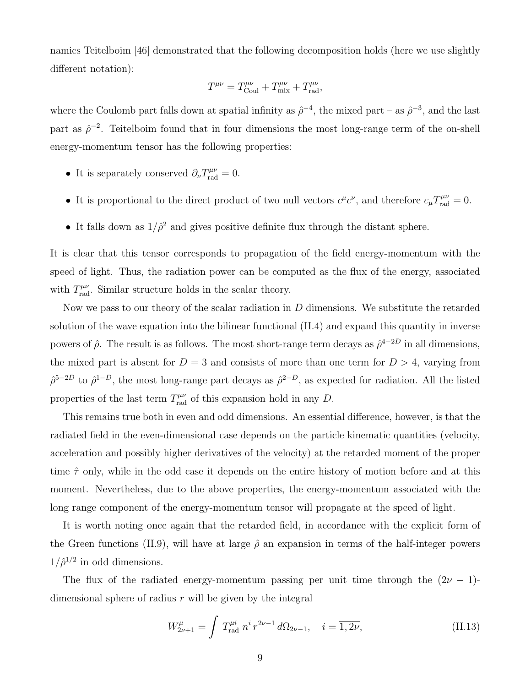namics Teitelboim [46] demonstrated that the following decomposition holds (here we use slightly different notation):

$$
T^{\mu\nu} = T^{\mu\nu}_{\text{Coul}} + T^{\mu\nu}_{\text{mix}} + T^{\mu\nu}_{\text{rad}},
$$

where the Coulomb part falls down at spatial infinity as  $\hat{\rho}^{-4}$ , the mixed part – as  $\hat{\rho}^{-3}$ , and the last part as  $\hat{\rho}^{-2}$ . Teitelboim found that in four dimensions the most long-range term of the on-shell energy-momentum tensor has the following properties:

- It is separately conserved  $\partial_{\nu} T^{\mu\nu}_{\text{rad}} = 0$ .
- It is proportional to the direct product of two null vectors  $c^{\mu}c^{\nu}$ , and therefore  $c_{\mu}T^{\mu\nu}_{\text{rad}}=0$ .
- It falls down as  $1/\hat{\rho}^2$  and gives positive definite flux through the distant sphere.

It is clear that this tensor corresponds to propagation of the field energy-momentum with the speed of light. Thus, the radiation power can be computed as the flux of the energy, associated with  $T^{\mu\nu}_{\text{rad}}$ . Similar structure holds in the scalar theory.

Now we pass to our theory of the scalar radiation in  $D$  dimensions. We substitute the retarded solution of the wave equation into the bilinear functional (II.4) and expand this quantity in inverse powers of  $\hat{\rho}$ . The result is as follows. The most short-range term decays as  $\hat{\rho}^{4-2D}$  in all dimensions, the mixed part is absent for  $D = 3$  and consists of more than one term for  $D > 4$ , varying from  $\hat{\rho}^{5-2D}$  to  $\hat{\rho}^{1-D}$ , the most long-range part decays as  $\hat{\rho}^{2-D}$ , as expected for radiation. All the listed properties of the last term  $T^{\mu\nu}_{rad}$  of this expansion hold in any D.

This remains true both in even and odd dimensions. An essential difference, however, is that the radiated field in the even-dimensional case depends on the particle kinematic quantities (velocity, acceleration and possibly higher derivatives of the velocity) at the retarded moment of the proper time  $\hat{\tau}$  only, while in the odd case it depends on the entire history of motion before and at this moment. Nevertheless, due to the above properties, the energy-momentum associated with the long range component of the energy-momentum tensor will propagate at the speed of light.

It is worth noting once again that the retarded field, in accordance with the explicit form of the Green functions (II.9), will have at large  $\hat{\rho}$  an expansion in terms of the half-integer powers  $1/\hat{\rho}^{1/2}$  in odd dimensions.

The flux of the radiated energy-momentum passing per unit time through the  $(2\nu - 1)$ dimensional sphere of radius  $r$  will be given by the integral

$$
W_{2\nu+1}^{\mu} = \int T_{\text{rad}}^{\mu i} n^i r^{2\nu-1} d\Omega_{2\nu-1}, \quad i = \overline{1, 2\nu}, \tag{II.13}
$$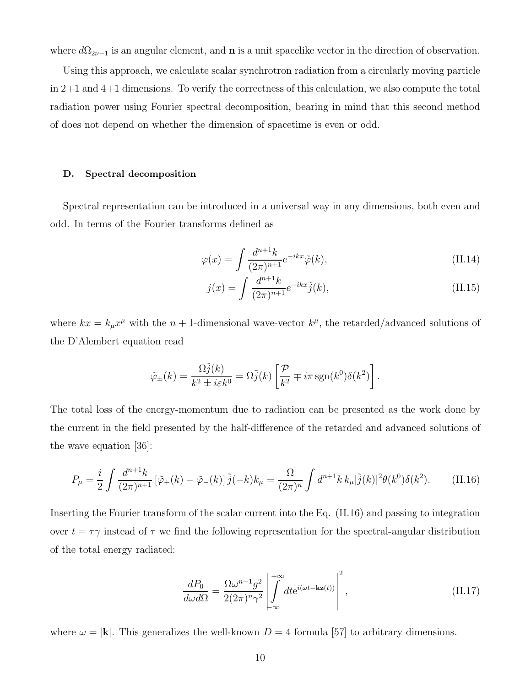where  $d\Omega_{2\nu-1}$  is an angular element, and **n** is a unit spacelike vector in the direction of observation.

Using this approach, we calculate scalar synchrotron radiation from a circularly moving particle  $\ln 2+1$  and  $4+1$  dimensions. To verify the correctness of this calculation, we also compute the total radiation power using Fourier spectral decomposition, bearing in mind that this second method of does not depend on whether the dimension of spacetime is even or odd.

#### D. Spectral decomposition

Spectral representation can be introduced in a universal way in any dimensions, both even and odd. In terms of the Fourier transforms defined as

$$
\varphi(x) = \int \frac{d^{n+1}k}{(2\pi)^{n+1}} e^{-ikx} \tilde{\varphi}(k),\tag{II.14}
$$

$$
j(x) = \int \frac{d^{n+1}k}{(2\pi)^{n+1}} e^{-ikx} \tilde{j}(k), \qquad (II.15)
$$

where  $kx = k_{\mu}x^{\mu}$  with the  $n+1$ -dimensional wave-vector  $k^{\mu}$ , the retarded/advanced solutions of the D'Alembert equation read

$$
\tilde{\varphi}_{\pm}(k) = \frac{\Omega \tilde{j}(k)}{k^2 \pm i \varepsilon k^0} = \Omega \tilde{j}(k) \left[ \frac{\mathcal{P}}{k^2} \mp i \pi \operatorname{sgn}(k^0) \delta(k^2) \right].
$$

The total loss of the energy-momentum due to radiation can be presented as the work done by the current in the field presented by the half-difference of the retarded and advanced solutions of the wave equation [36]:

$$
P_{\mu} = \frac{i}{2} \int \frac{d^{n+1}k}{(2\pi)^{n+1}} \left[ \tilde{\varphi}_+(k) - \tilde{\varphi}_-(k) \right] \tilde{j}(-k) k_{\mu} = \frac{\Omega}{(2\pi)^n} \int d^{n+1}k \, k_{\mu} |\tilde{j}(k)|^2 \theta(k^0) \delta(k^2). \tag{II.16}
$$

Inserting the Fourier transform of the scalar current into the Eq. (II.16) and passing to integration over  $t = \tau \gamma$  instead of  $\tau$  we find the following representation for the spectral-angular distribution of the total energy radiated:

$$
\frac{dP_0}{d\omega d\Omega} = \frac{\Omega \omega^{n-1} g^2}{2(2\pi)^n \gamma^2} \left| \int_{-\infty}^{+\infty} dt e^{i(\omega t - \mathbf{k} \mathbf{z}(t))} \right|^2,
$$
\n(II.17)

where  $\omega = |\mathbf{k}|$ . This generalizes the well-known  $D = 4$  formula [57] to arbitrary dimensions.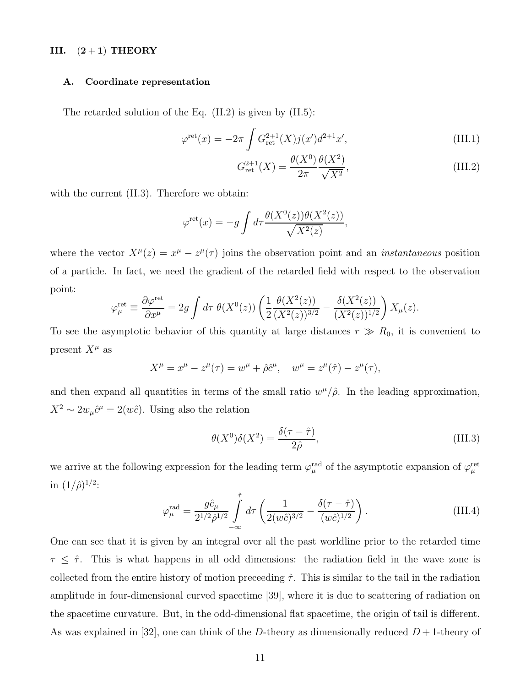#### III.  $(2+1)$  THEORY

#### A. Coordinate representation

The retarded solution of the Eq. (II.2) is given by (II.5):

$$
\varphi^{\text{ret}}(x) = -2\pi \int G_{\text{ret}}^{2+1}(X) j(x') d^{2+1} x', \tag{III.1}
$$

$$
G_{\rm ret}^{2+1}(X) = \frac{\theta(X^0)}{2\pi} \frac{\theta(X^2)}{\sqrt{X^2}},
$$
\n(III.2)

with the current  $(II.3)$ . Therefore we obtain:

$$
\varphi^{\text{ret}}(x) = -g \int d\tau \frac{\theta(X^0(z))\theta(X^2(z))}{\sqrt{X^2(z)}},
$$

where the vector  $X^{\mu}(z) = x^{\mu} - z^{\mu}(\tau)$  joins the observation point and an *instantaneous* position of a particle. In fact, we need the gradient of the retarded field with respect to the observation point:

$$
\varphi_{\mu}^{\text{ret}} \equiv \frac{\partial \varphi^{\text{ret}}}{\partial x^{\mu}} = 2g \int d\tau \; \theta(X^{0}(z)) \left( \frac{1}{2} \frac{\theta(X^{2}(z))}{(X^{2}(z))^{3/2}} - \frac{\delta(X^{2}(z))}{(X^{2}(z))^{1/2}} \right) X_{\mu}(z).
$$

To see the asymptotic behavior of this quantity at large distances  $r \gg R_0$ , it is convenient to present  $X^{\mu}$  as

$$
X^{\mu} = x^{\mu} - z^{\mu}(\tau) = w^{\mu} + \hat{\rho} \hat{c}^{\mu}, \quad w^{\mu} = z^{\mu}(\hat{\tau}) - z^{\mu}(\tau),
$$

and then expand all quantities in terms of the small ratio  $w^{\mu}/\hat{\rho}$ . In the leading approximation,  $X^2 \sim 2w_\mu \hat{c}^\mu = 2(w\hat{c})$ . Using also the relation

$$
\theta(X^0)\delta(X^2) = \frac{\delta(\tau - \hat{\tau})}{2\hat{\rho}},\tag{III.3}
$$

we arrive at the following expression for the leading term  $\varphi_\mu^{\rm rad}$  of the asymptotic expansion of  $\varphi_\mu^{\rm ret}$ in  $(1/\hat{\rho})^{1/2}$ :

$$
\varphi_{\mu}^{\text{rad}} = \frac{g \hat{c}_{\mu}}{2^{1/2} \hat{\rho}^{1/2}} \int_{-\infty}^{\hat{\tau}} d\tau \left( \frac{1}{2(w\hat{c})^{3/2}} - \frac{\delta(\tau - \hat{\tau})}{(w\hat{c})^{1/2}} \right). \tag{III.4}
$$

One can see that it is given by an integral over all the past worldline prior to the retarded time  $\tau \leq \hat{\tau}$ . This is what happens in all odd dimensions: the radiation field in the wave zone is collected from the entire history of motion preceeding  $\hat{\tau}$ . This is similar to the tail in the radiation amplitude in four-dimensional curved spacetime [39], where it is due to scattering of radiation on the spacetime curvature. But, in the odd-dimensional flat spacetime, the origin of tail is different. As was explained in [32], one can think of the D-theory as dimensionally reduced  $D+1$ -theory of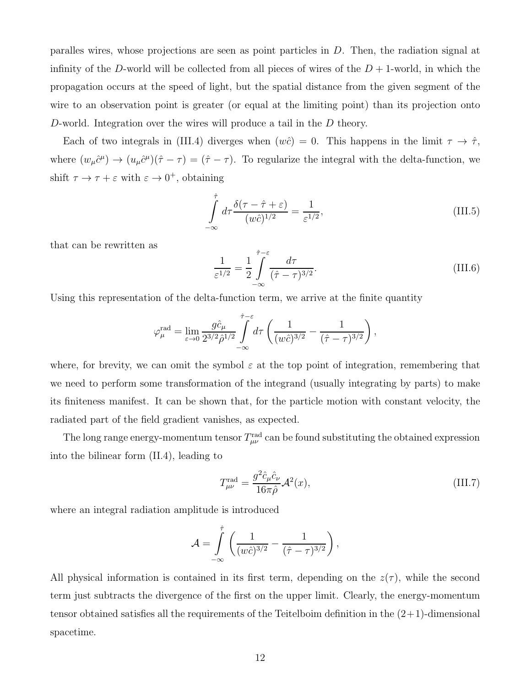paralles wires, whose projections are seen as point particles in D. Then, the radiation signal at infinity of the D-world will be collected from all pieces of wires of the  $D + 1$ -world, in which the propagation occurs at the speed of light, but the spatial distance from the given segment of the wire to an observation point is greater (or equal at the limiting point) than its projection onto D-world. Integration over the wires will produce a tail in the D theory.

Each of two integrals in (III.4) diverges when  $(w\hat{c}) = 0$ . This happens in the limit  $\tau \to \hat{\tau}$ , where  $(w_{\mu}\hat{c}^{\mu}) \to (u_{\mu}\hat{c}^{\mu})(\hat{\tau} - \tau) = (\hat{\tau} - \tau)$ . To regularize the integral with the delta-function, we shift  $\tau \to \tau + \varepsilon$  with  $\varepsilon \to 0^+$ , obtaining

$$
\int_{-\infty}^{\hat{\tau}} d\tau \frac{\delta(\tau - \hat{\tau} + \varepsilon)}{(w\hat{c})^{1/2}} = \frac{1}{\varepsilon^{1/2}},
$$
\n(III.5)

that can be rewritten as

$$
\frac{1}{\varepsilon^{1/2}} = \frac{1}{2} \int_{-\infty}^{\hat{\tau}-\varepsilon} \frac{d\tau}{(\hat{\tau}-\tau)^{3/2}}.
$$
\n(III.6)

Using this representation of the delta-function term, we arrive at the finite quantity

$$
\varphi_{\mu}^{\text{rad}} = \lim_{\varepsilon \to 0} \frac{g \hat{c}_{\mu}}{2^{3/2} \hat{\rho}^{1/2}} \int_{-\infty}^{\hat{\tau}-\varepsilon} d\tau \left( \frac{1}{(w \hat{c})^{3/2}} - \frac{1}{(\hat{\tau}-\tau)^{3/2}} \right),
$$

where, for brevity, we can omit the symbol  $\varepsilon$  at the top point of integration, remembering that we need to perform some transformation of the integrand (usually integrating by parts) to make its finiteness manifest. It can be shown that, for the particle motion with constant velocity, the radiated part of the field gradient vanishes, as expected.

The long range energy-momentum tensor  $T^{\text{rad}}_{\mu\nu}$  can be found substituting the obtained expression into the bilinear form (II.4), leading to

$$
T^{\text{rad}}_{\mu\nu} = \frac{g^2 \hat{c}_{\mu} \hat{c}_{\nu}}{16\pi \hat{\rho}} \mathcal{A}^2(x),\tag{III.7}
$$

where an integral radiation amplitude is introduced

$$
\mathcal{A} = \int\limits_{-\infty}^{\hat{\tau}} \left( \frac{1}{(w\hat{c})^{3/2}} - \frac{1}{(\hat{\tau} - \tau)^{3/2}} \right),
$$

All physical information is contained in its first term, depending on the  $z(\tau)$ , while the second term just subtracts the divergence of the first on the upper limit. Clearly, the energy-momentum tensor obtained satisfies all the requirements of the Teitelboim definition in the  $(2+1)$ -dimensional spacetime.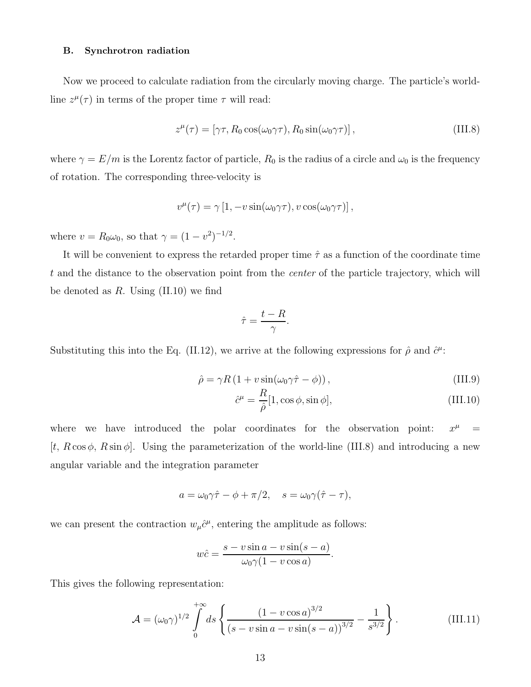### B. Synchrotron radiation

Now we proceed to calculate radiation from the circularly moving charge. The particle's worldline  $z^{\mu}(\tau)$  in terms of the proper time  $\tau$  will read:

$$
z^{\mu}(\tau) = [\gamma \tau, R_0 \cos(\omega_0 \gamma \tau), R_0 \sin(\omega_0 \gamma \tau)], \qquad (III.8)
$$

where  $\gamma = E/m$  is the Lorentz factor of particle,  $R_0$  is the radius of a circle and  $\omega_0$  is the frequency of rotation. The corresponding three-velocity is

$$
v^{\mu}(\tau) = \gamma [1, -v \sin(\omega_0 \gamma \tau), v \cos(\omega_0 \gamma \tau)],
$$

where  $v = R_0 \omega_0$ , so that  $\gamma = (1 - v^2)^{-1/2}$ .

It will be convenient to express the retarded proper time  $\hat{\tau}$  as a function of the coordinate time t and the distance to the observation point from the center of the particle trajectory, which will be denoted as  $R$ . Using  $(II.10)$  we find

$$
\hat{\tau} = \frac{t - R}{\gamma}.
$$

Substituting this into the Eq. (II.12), we arrive at the following expressions for  $\hat{\rho}$  and  $\hat{c}^{\mu}$ :

$$
\hat{\rho} = \gamma R \left( 1 + v \sin(\omega_0 \gamma \hat{\tau} - \phi) \right),\tag{III.9}
$$

$$
\hat{c}^{\mu} = \frac{R}{\hat{\rho}} [1, \cos \phi, \sin \phi], \tag{III.10}
$$

where we have introduced the polar coordinates for the observation point:  $x^{\mu}$  $=$ [t,  $R \cos \phi$ ,  $R \sin \phi$ ]. Using the parameterization of the world-line (III.8) and introducing a new angular variable and the integration parameter

$$
a = \omega_0 \gamma \hat{\tau} - \phi + \pi/2, \quad s = \omega_0 \gamma (\hat{\tau} - \tau),
$$

we can present the contraction  $w_\mu \hat{c}^\mu$ , entering the amplitude as follows:

$$
w\hat{c} = \frac{s - v\sin a - v\sin(s - a)}{\omega_0\gamma(1 - v\cos a)}
$$

This gives the following representation:

$$
\mathcal{A} = (\omega_0 \gamma)^{1/2} \int_0^{+\infty} ds \left\{ \frac{(1 - v \cos a)^{3/2}}{(s - v \sin a - v \sin(s - a))^{3/2}} - \frac{1}{s^{3/2}} \right\}.
$$
 (III.11)

.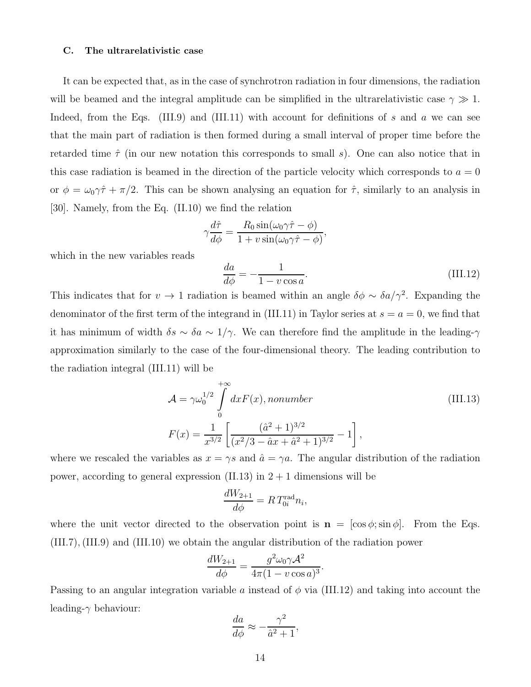#### C. The ultrarelativistic case

It can be expected that, as in the case of synchrotron radiation in four dimensions, the radiation will be beamed and the integral amplitude can be simplified in the ultrarelativistic case  $\gamma \gg 1$ . Indeed, from the Eqs. (III.9) and (III.11) with account for definitions of s and a we can see that the main part of radiation is then formed during a small interval of proper time before the retarded time  $\hat{\tau}$  (in our new notation this corresponds to small s). One can also notice that in this case radiation is beamed in the direction of the particle velocity which corresponds to  $a = 0$ or  $\phi = \omega_0 \gamma \hat{\tau} + \pi/2$ . This can be shown analysing an equation for  $\hat{\tau}$ , similarly to an analysis in [30]. Namely, from the Eq. (II.10) we find the relation

$$
\gamma \frac{d\hat{\tau}}{d\phi} = \frac{R_0 \sin(\omega_0 \gamma \hat{\tau} - \phi)}{1 + v \sin(\omega_0 \gamma \hat{\tau} - \phi)},
$$

which in the new variables reads

$$
\frac{da}{d\phi} = -\frac{1}{1 - v\cos a}.\tag{III.12}
$$

This indicates that for  $v \to 1$  radiation is beamed within an angle  $\delta\phi \sim \delta a/\gamma^2$ . Expanding the denominator of the first term of the integrand in (III.11) in Taylor series at  $s = a = 0$ , we find that it has minimum of width  $\delta s \sim \delta a \sim 1/\gamma$ . We can therefore find the amplitude in the leading- $\gamma$ approximation similarly to the case of the four-dimensional theory. The leading contribution to the radiation integral (III.11) will be

$$
\mathcal{A} = \gamma \omega_0^{1/2} \int_0^{+\infty} dx F(x), \text{nonumber}
$$
\n
$$
F(x) = \frac{1}{x^{3/2}} \left[ \frac{(\hat{a}^2 + 1)^{3/2}}{(x^2/3 - \hat{a}x + \hat{a}^2 + 1)^{3/2}} - 1 \right],
$$
\n(III.13)

where we rescaled the variables as  $x = \gamma s$  and  $\hat{a} = \gamma a$ . The angular distribution of the radiation power, according to general expression (II.13) in  $2 + 1$  dimensions will be

$$
\frac{dW_{2+1}}{d\phi} = RT_{0i}^{\text{rad}}n_i,
$$

where the unit vector directed to the observation point is  $\mathbf{n} = [\cos \phi; \sin \phi]$ . From the Eqs. (III.7),(III.9) and (III.10) we obtain the angular distribution of the radiation power

$$
\frac{dW_{2+1}}{d\phi} = \frac{g^2 \omega_0 \gamma \mathcal{A}^2}{4\pi (1 - v \cos a)^3}.
$$

Passing to an angular integration variable a instead of  $\phi$  via (III.12) and taking into account the leading- $\gamma$  behaviour:

$$
\frac{da}{d\phi} \approx -\frac{\gamma^2}{\hat{a}^2 + 1}
$$

,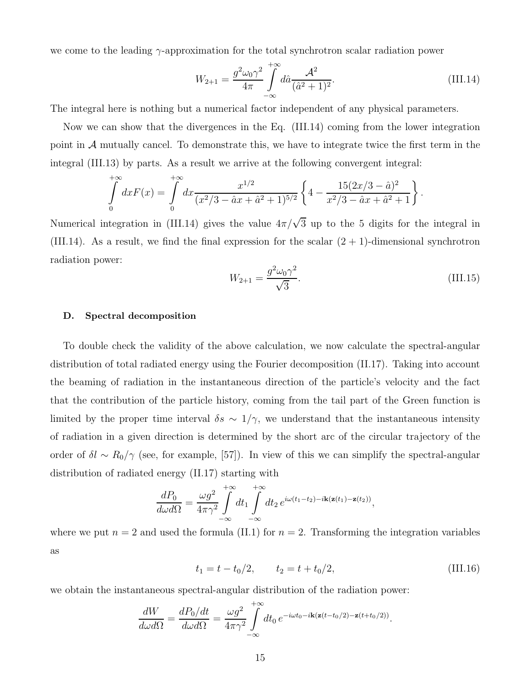we come to the leading  $\gamma$ -approximation for the total synchrotron scalar radiation power

$$
W_{2+1} = \frac{g^2 \omega_0 \gamma^2}{4\pi} \int_{-\infty}^{+\infty} d\hat{a} \frac{\mathcal{A}^2}{(\hat{a}^2 + 1)^2}.
$$
 (III.14)

The integral here is nothing but a numerical factor independent of any physical parameters.

Now we can show that the divergences in the Eq. (III.14) coming from the lower integration point in A mutually cancel. To demonstrate this, we have to integrate twice the first term in the integral (III.13) by parts. As a result we arrive at the following convergent integral:

$$
\int_{0}^{+\infty} dx F(x) = \int_{0}^{+\infty} dx \frac{x^{1/2}}{(x^2/3 - \hat{a}x + \hat{a}^2 + 1)^{5/2}} \left\{ 4 - \frac{15(2x/3 - \hat{a})^2}{x^2/3 - \hat{a}x + \hat{a}^2 + 1} \right\}.
$$

Numerical integration in (III.14) gives the value  $4\pi/\sqrt{3}$  up to the 5 digits for the integral in (III.14). As a result, we find the final expression for the scalar  $(2 + 1)$ -dimensional synchrotron radiation power:

$$
W_{2+1} = \frac{g^2 \omega_0 \gamma^2}{\sqrt{3}}.
$$
\n(III.15)

#### D. Spectral decomposition

To double check the validity of the above calculation, we now calculate the spectral-angular distribution of total radiated energy using the Fourier decomposition (II.17). Taking into account the beaming of radiation in the instantaneous direction of the particle's velocity and the fact that the contribution of the particle history, coming from the tail part of the Green function is limited by the proper time interval  $\delta s \sim 1/\gamma$ , we understand that the instantaneous intensity of radiation in a given direction is determined by the short arc of the circular trajectory of the order of  $\delta l \sim R_0/\gamma$  (see, for example, [57]). In view of this we can simplify the spectral-angular distribution of radiated energy (II.17) starting with

$$
\frac{dP_0}{d\omega d\Omega} = \frac{\omega g^2}{4\pi\gamma^2} \int\limits_{-\infty}^{+\infty} dt_1 \int\limits_{-\infty}^{+\infty} dt_2 e^{i\omega(t_1 - t_2) - i\mathbf{k}(\mathbf{z}(t_1) - \mathbf{z}(t_2))},
$$

where we put  $n = 2$  and used the formula (II.1) for  $n = 2$ . Transforming the integration variables as

$$
t_1 = t - t_0/2, \qquad t_2 = t + t_0/2, \tag{III.16}
$$

we obtain the instantaneous spectral-angular distribution of the radiation power:

$$
\frac{dW}{d\omega d\Omega} = \frac{dP_0/dt}{d\omega d\Omega} = \frac{\omega g^2}{4\pi\gamma^2} \int_{-\infty}^{+\infty} dt_0 e^{-i\omega t_0 - i\mathbf{k}(\mathbf{z}(t - t_0/2) - \mathbf{z}(t + t_0/2))}.
$$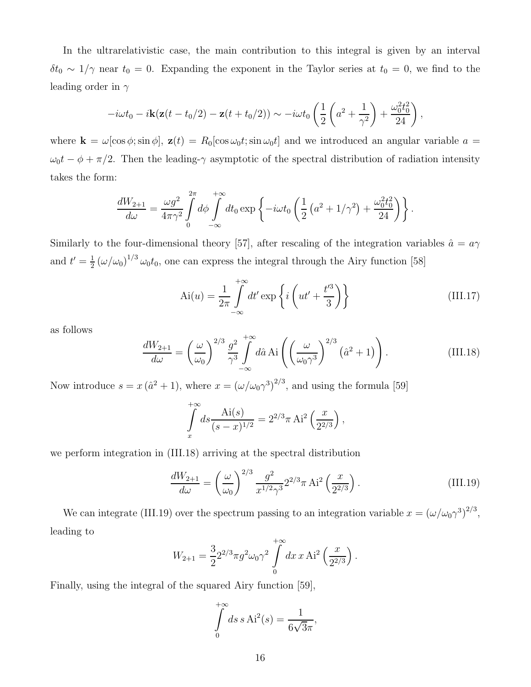In the ultrarelativistic case, the main contribution to this integral is given by an interval  $\delta t_0 \sim 1/\gamma$  near  $t_0 = 0$ . Expanding the exponent in the Taylor series at  $t_0 = 0$ , we find to the leading order in  $\gamma$ 

$$
-i\omega t_0 - i\mathbf{k}(\mathbf{z}(t - t_0/2) - \mathbf{z}(t + t_0/2)) \sim -i\omega t_0 \left(\frac{1}{2}\left(a^2 + \frac{1}{\gamma^2}\right) + \frac{\omega_0^2 t_0^2}{24}\right),
$$

where  $\mathbf{k} = \omega[\cos \phi; \sin \phi], \mathbf{z}(t) = R_0[\cos \omega_0 t; \sin \omega_0 t]$  and we introduced an angular variable  $a =$  $\omega_0 t - \phi + \pi/2$ . Then the leading- $\gamma$  asymptotic of the spectral distribution of radiation intensity takes the form:

$$
\frac{dW_{2+1}}{d\omega} = \frac{\omega g^2}{4\pi\gamma^2} \int\limits_0^{2\pi} d\phi \int\limits_{-\infty}^{+\infty} dt_0 \exp\left\{-i\omega t_0 \left(\frac{1}{2}\left(a^2 + 1/\gamma^2\right) + \frac{\omega_0^2 t_0^2}{24}\right)\right\}.
$$

Similarly to the four-dimensional theory [57], after rescaling of the integration variables  $\hat{a} = a\gamma$ and  $t'=\frac{1}{2}$  $\frac{1}{2}(\omega/\omega_0)^{1/3}\omega_0 t_0$ , one can express the integral through the Airy function [58]

$$
Ai(u) = \frac{1}{2\pi} \int_{-\infty}^{+\infty} dt' \exp\left\{i\left(ut' + \frac{t'^3}{3}\right)\right\}
$$
 (III.17)

as follows

$$
\frac{dW_{2+1}}{d\omega} = \left(\frac{\omega}{\omega_0}\right)^{2/3} \frac{g^2}{\gamma^3} \int_{-\infty}^{+\infty} d\hat{a} \operatorname{Ai}\left(\left(\frac{\omega}{\omega_0\gamma^3}\right)^{2/3} (\hat{a}^2 + 1)\right). \tag{III.18}
$$

Now introduce  $s = x (\hat{a}^2 + 1)$ , where  $x = (\omega/\omega_0 \gamma^3)^{2/3}$ , and using the formula [59]

$$
\int_{x}^{+\infty} ds \frac{\text{Ai}(s)}{(s-x)^{1/2}} = 2^{2/3} \pi \text{ Ai}^2 \left(\frac{x}{2^{2/3}}\right),
$$

we perform integration in (III.18) arriving at the spectral distribution

$$
\frac{dW_{2+1}}{d\omega} = \left(\frac{\omega}{\omega_0}\right)^{2/3} \frac{g^2}{x^{1/2}\gamma^3} 2^{2/3} \pi \text{ Ai}^2\left(\frac{x}{2^{2/3}}\right). \tag{III.19}
$$

We can integrate (III.19) over the spectrum passing to an integration variable  $x = (\omega/\omega_0 \gamma^3)^{2/3}$ , leading to

$$
W_{2+1} = \frac{3}{2} 2^{2/3} \pi g^2 \omega_0 \gamma^2 \int\limits_0^{+\infty} dx \, x \, \mathrm{Ai}^2 \left(\frac{x}{2^{2/3}}\right).
$$

Finally, using the integral of the squared Airy function [59],

$$
\int_{0}^{+\infty} ds \, s \, \mathrm{Ai}^2(s) = \frac{1}{6\sqrt{3}\pi},
$$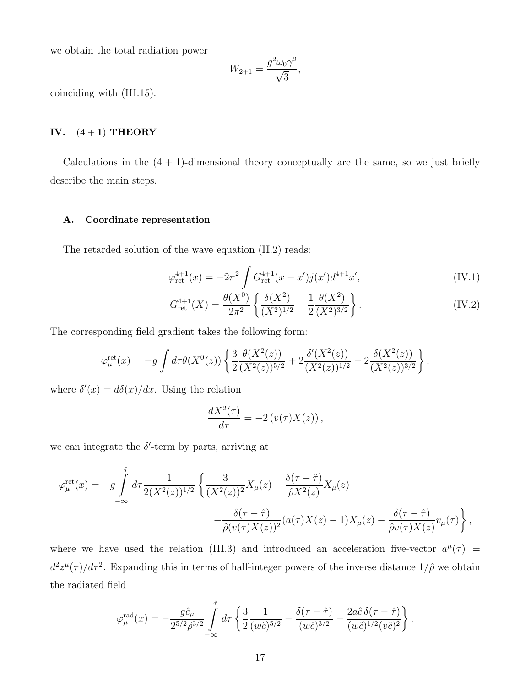we obtain the total radiation power

$$
W_{2+1} = \frac{g^2 \omega_0 \gamma^2}{\sqrt{3}},
$$

coinciding with (III.15).

### IV.  $(4+1)$  THEORY

Calculations in the  $(4 + 1)$ -dimensional theory conceptually are the same, so we just briefly describe the main steps.

### A. Coordinate representation

The retarded solution of the wave equation (II.2) reads:

$$
\varphi_{\rm ret}^{4+1}(x) = -2\pi^2 \int G_{\rm ret}^{4+1}(x-x')j(x')d^{4+1}x', \tag{IV.1}
$$

$$
G_{\rm ret}^{4+1}(X) = \frac{\theta(X^0)}{2\pi^2} \left\{ \frac{\delta(X^2)}{(X^2)^{1/2}} - \frac{1}{2} \frac{\theta(X^2)}{(X^2)^{3/2}} \right\}.
$$
 (IV.2)

The corresponding field gradient takes the following form:

$$
\varphi_{\mu}^{\text{ret}}(x) = -g \int d\tau \theta(X^0(z)) \left\{ \frac{3}{2} \frac{\theta(X^2(z))}{(X^2(z))^{5/2}} + 2 \frac{\delta'(X^2(z))}{(X^2(z))^{1/2}} - 2 \frac{\delta(X^2(z))}{(X^2(z))^{3/2}} \right\},\,
$$

where  $\delta'(x) = d\delta(x)/dx$ . Using the relation

$$
\frac{dX^2(\tau)}{d\tau} = -2\left(v(\tau)X(z)\right),\,
$$

we can integrate the  $\delta'$ -term by parts, arriving at

$$
\varphi_{\mu}^{\text{ret}}(x) = -g \int_{-\infty}^{\hat{\tau}} d\tau \frac{1}{2(X^2(z))^{1/2}} \left\{ \frac{3}{(X^2(z))^2} X_{\mu}(z) - \frac{\delta(\tau - \hat{\tau})}{\hat{\rho}X^2(z)} X_{\mu}(z) - \frac{\delta(\tau - \hat{\tau})}{\hat{\rho}(v(\tau)X(z))^2} (a(\tau)X(z) - 1) X_{\mu}(z) - \frac{\delta(\tau - \hat{\tau})}{\hat{\rho}v(\tau)X(z)} v_{\mu}(\tau) \right\},\,
$$

where we have used the relation (III.3) and introduced an acceleration five-vector  $a^{\mu}(\tau)$  =  $d^2z^{\mu}(\tau)/d\tau^2$ . Expanding this in terms of half-integer powers of the inverse distance  $1/\hat{\rho}$  we obtain the radiated field

$$
\varphi_{\mu}^{\text{rad}}(x) = -\frac{g\hat{c}_{\mu}}{2^{5/2}\hat{\rho}^{3/2}} \int\limits_{-\infty}^{\hat{\tau}} d\tau \left\{ \frac{3}{2} \frac{1}{(w\hat{c})^{5/2}} - \frac{\delta(\tau - \hat{\tau})}{(w\hat{c})^{3/2}} - \frac{2a\hat{c}\,\delta(\tau - \hat{\tau})}{(w\hat{c})^{1/2}(v\hat{c})^2} \right\}.
$$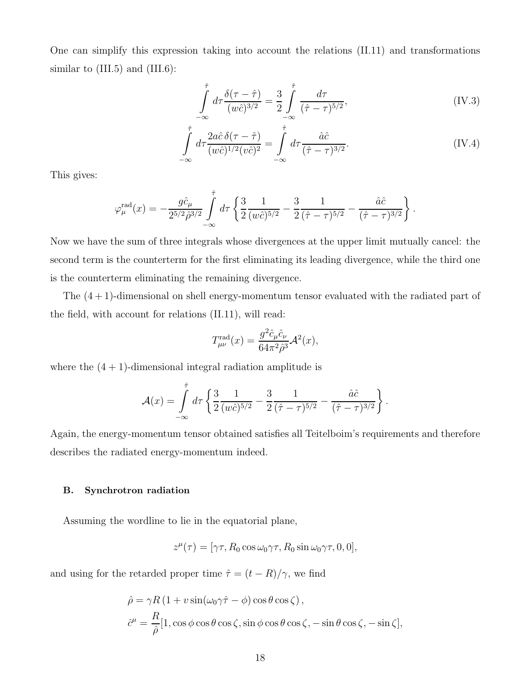One can simplify this expression taking into account the relations (II.11) and transformations similar to  $(III.5)$  and  $(III.6)$ :

$$
\int_{-\infty}^{\hat{\tau}} d\tau \frac{\delta(\tau - \hat{\tau})}{(w\hat{c})^{3/2}} = \frac{3}{2} \int_{-\infty}^{\hat{\tau}} \frac{d\tau}{(\hat{\tau} - \tau)^{5/2}},
$$
\n(IV.3)

$$
\int_{-\infty}^{\hat{\tau}} d\tau \frac{2a\hat{c}\,\delta(\tau-\hat{\tau})}{(w\hat{c})^{1/2}(v\hat{c})^2} = \int_{-\infty}^{\hat{\tau}} d\tau \frac{\hat{a}\hat{c}}{(\hat{\tau}-\tau)^{3/2}}.
$$
\n(IV.4)

This gives:

$$
\varphi_{\mu}^{\text{rad}}(x) = -\frac{g\hat{c}_{\mu}}{2^{5/2}\hat{\rho}^{3/2}} \int\limits_{-\infty}^{\hat{\tau}} d\tau \left\{ \frac{3}{2} \frac{1}{(w\hat{c})^{5/2}} - \frac{3}{2} \frac{1}{(\hat{\tau} - \tau)^{5/2}} - \frac{\hat{a}\hat{c}}{(\hat{\tau} - \tau)^{3/2}} \right\}.
$$

Now we have the sum of three integrals whose divergences at the upper limit mutually cancel: the second term is the counterterm for the first eliminating its leading divergence, while the third one is the counterterm eliminating the remaining divergence.

The (4 + 1)-dimensional on shell energy-momentum tensor evaluated with the radiated part of the field, with account for relations (II.11), will read:

$$
T^{\rm rad}_{\mu\nu}(x) = \frac{g^2 \hat{c}_{\mu} \hat{c}_{\nu}}{64\pi^2 \hat{\rho}^3} \mathcal{A}^2(x),
$$

where the  $(4 + 1)$ -dimensional integral radiation amplitude is

$$
\mathcal{A}(x) = \int_{-\infty}^{\hat{\tau}} d\tau \left\{ \frac{3}{2} \frac{1}{(w\hat{c})^{5/2}} - \frac{3}{2} \frac{1}{(\hat{\tau} - \tau)^{5/2}} - \frac{\hat{a}\hat{c}}{(\hat{\tau} - \tau)^{3/2}} \right\}.
$$

Again, the energy-momentum tensor obtained satisfies all Teitelboim's requirements and therefore describes the radiated energy-momentum indeed.

### B. Synchrotron radiation

Assuming the wordline to lie in the equatorial plane,

$$
z^{\mu}(\tau) = [\gamma \tau, R_0 \cos \omega_0 \gamma \tau, R_0 \sin \omega_0 \gamma \tau, 0, 0],
$$

and using for the retarded proper time  $\hat{\tau} = (t - R)/\gamma$ , we find

$$
\hat{\rho} = \gamma R (1 + v \sin(\omega_0 \gamma \hat{\tau} - \phi) \cos \theta \cos \zeta),
$$
  

$$
\hat{c}^{\mu} = \frac{R}{\hat{\rho}} [1, \cos \phi \cos \theta \cos \zeta, \sin \phi \cos \theta \cos \zeta, -\sin \theta \cos \zeta, -\sin \zeta],
$$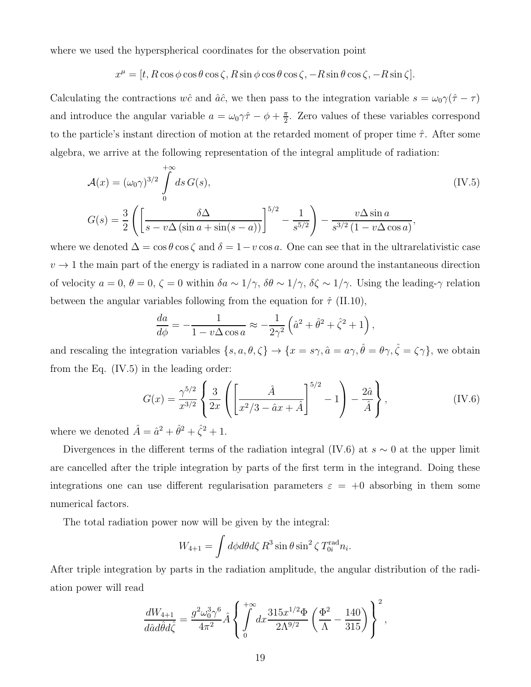where we used the hyperspherical coordinates for the observation point

$$
x^{\mu} = [t, R\cos\phi\cos\theta\cos\zeta, R\sin\phi\cos\theta\cos\zeta, -R\sin\theta\cos\zeta, -R\sin\zeta].
$$

Calculating the contractions wĉ and  $\hat{a}\hat{c}$ , we then pass to the integration variable  $s = \omega_0 \gamma(\hat{\tau} - \tau)$ and introduce the angular variable  $a = \omega_0 \gamma \hat{\tau} - \phi + \frac{\pi}{2}$  $\frac{\pi}{2}$ . Zero values of these variables correspond to the particle's instant direction of motion at the retarded moment of proper time  $\hat{\tau}$ . After some algebra, we arrive at the following representation of the integral amplitude of radiation:

$$
\mathcal{A}(x) = (\omega_0 \gamma)^{3/2} \int_0^{+\infty} ds \, G(s),
$$
\n
$$
G(s) = \frac{3}{2} \left( \left[ \frac{\delta \Delta}{s - v \Delta \left( \sin a + \sin(s - a) \right)} \right]^{5/2} - \frac{1}{s^{5/2}} \right) - \frac{v \Delta \sin a}{s^{3/2} \left( 1 - v \Delta \cos a \right)},
$$
\n(IV.5)

where we denoted  $\Delta = \cos \theta \cos \zeta$  and  $\delta = 1 - v \cos a$ . One can see that in the ultrarelativistic case  $v \rightarrow 1$  the main part of the energy is radiated in a narrow cone around the instantaneous direction of velocity  $a = 0$ ,  $\theta = 0$ ,  $\zeta = 0$  within  $\delta a \sim 1/\gamma$ ,  $\delta \theta \sim 1/\gamma$ ,  $\delta \zeta \sim 1/\gamma$ . Using the leading- $\gamma$  relation between the angular variables following from the equation for  $\hat{\tau}$  (II.10),

$$
\frac{da}{d\phi} = -\frac{1}{1 - v\Delta\cos a} \approx -\frac{1}{2\gamma^2} \left(\hat{a}^2 + \hat{\theta}^2 + \hat{\zeta}^2 + 1\right),\,
$$

and rescaling the integration variables  $\{s, a, \theta, \zeta\} \to \{x = s\gamma, \hat{a} = a\gamma, \hat{\theta} = \theta\gamma, \hat{\zeta} = \zeta\gamma\}$ , we obtain from the Eq. (IV.5) in the leading order:

$$
G(x) = \frac{\gamma^{5/2}}{x^{3/2}} \left\{ \frac{3}{2x} \left( \left[ \frac{\hat{A}}{x^2/3 - \hat{a}x + \hat{A}} \right]^{5/2} - 1 \right) - \frac{2\hat{a}}{\hat{A}} \right\},
$$
 (IV.6)

where we denoted  $\hat{A} = \hat{a}^2 + \hat{\theta}^2 + \hat{\zeta}^2 + 1$ .

Divergences in the different terms of the radiation integral (IV.6) at  $s \sim 0$  at the upper limit are cancelled after the triple integration by parts of the first term in the integrand. Doing these integrations one can use different regularisation parameters  $\varepsilon = +0$  absorbing in them some numerical factors.

The total radiation power now will be given by the integral:

$$
W_{4+1} = \int d\phi d\theta d\zeta R^3 \sin \theta \sin^2 \zeta T_{0i}^{\text{rad}} n_i.
$$

After triple integration by parts in the radiation amplitude, the angular distribution of the radiation power will read

$$
\frac{dW_{4+1}}{d\hat{a}d\hat{\theta}d\hat{\zeta}} = \frac{g^2\omega_0^3\gamma^6}{4\pi^2}\hat{A}\left\{\int_0^{+\infty} dx \frac{315x^{1/2}\Phi}{2\Lambda^{9/2}}\left(\frac{\Phi^2}{\Lambda} - \frac{140}{315}\right)\right\}^2,
$$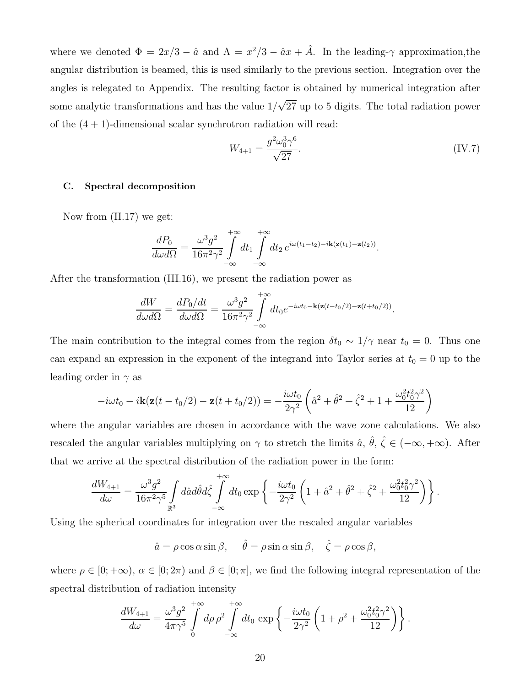where we denoted  $\Phi = 2x/3 - \hat{a}$  and  $\Lambda = x^2/3 - \hat{a}x + \hat{A}$ . In the leading- $\gamma$  approximation, the angular distribution is beamed, this is used similarly to the previous section. Integration over the angles is relegated to Appendix. The resulting factor is obtained by numerical integration after some analytic transformations and has the value  $1/\sqrt{27}$  up to 5 digits. The total radiation power of the  $(4 + 1)$ -dimensional scalar synchrotron radiation will read:

$$
W_{4+1} = \frac{g^2 \omega_0^3 \gamma^6}{\sqrt{27}}.
$$
 (IV.7)

### C. Spectral decomposition

Now from (II.17) we get:

$$
\frac{dP_0}{d\omega d\Omega} = \frac{\omega^3 g^2}{16\pi^2 \gamma^2} \int\limits_{-\infty}^{+\infty} dt_1 \int\limits_{-\infty}^{+\infty} dt_2 e^{i\omega(t_1 - t_2) - i\mathbf{k}(\mathbf{z}(t_1) - \mathbf{z}(t_2))}.
$$

After the transformation (III.16), we present the radiation power as

$$
\frac{dW}{d\omega d\Omega} = \frac{dP_0/dt}{d\omega d\Omega} = \frac{\omega^3 g^2}{16\pi^2 \gamma^2} \int_{-\infty}^{+\infty} dt_0 e^{-i\omega t_0 - \mathbf{k}(\mathbf{z}(t - t_0/2) - \mathbf{z}(t + t_0/2))}.
$$

The main contribution to the integral comes from the region  $\delta t_0 \sim 1/\gamma$  near  $t_0 = 0$ . Thus one can expand an expression in the exponent of the integrand into Taylor series at  $t_0 = 0$  up to the leading order in  $\gamma$  as

$$
-i\omega t_0 - i\mathbf{k}(\mathbf{z}(t - t_0/2) - \mathbf{z}(t + t_0/2)) = -\frac{i\omega t_0}{2\gamma^2} \left(\hat{a}^2 + \hat{\theta}^2 + \hat{\zeta}^2 + 1 + \frac{\omega_0^2 t_0^2 \gamma^2}{12}\right)
$$

where the angular variables are chosen in accordance with the wave zone calculations. We also rescaled the angular variables multiplying on  $\gamma$  to stretch the limits  $\hat{a}$ ,  $\hat{\theta}$ ,  $\hat{\zeta} \in (-\infty, +\infty)$ . After that we arrive at the spectral distribution of the radiation power in the form:

$$
\frac{dW_{4+1}}{d\omega} = \frac{\omega^3 g^2}{16\pi^2 \gamma^5} \int_{\mathbb{R}^3} d\hat{a} d\hat{\theta} d\hat{\zeta} \int_{-\infty}^{+\infty} dt_0 \exp\left\{-\frac{i\omega t_0}{2\gamma^2} \left(1 + \hat{a}^2 + \hat{\theta}^2 + \hat{\zeta}^2 + \frac{\omega_0^2 t_0^2 \gamma^2}{12}\right)\right\}.
$$

Using the spherical coordinates for integration over the rescaled angular variables

$$
\hat{a} = \rho \cos \alpha \sin \beta, \quad \hat{\theta} = \rho \sin \alpha \sin \beta, \quad \hat{\zeta} = \rho \cos \beta,
$$

where  $\rho \in [0, +\infty)$ ,  $\alpha \in [0, 2\pi)$  and  $\beta \in [0, \pi]$ , we find the following integral representation of the spectral distribution of radiation intensity

$$
\frac{dW_{4+1}}{d\omega} = \frac{\omega^3 g^2}{4\pi\gamma^5} \int\limits_0^{+\infty} d\rho \,\rho^2 \int\limits_{-\infty}^{+\infty} dt_0 \, \exp\left\{-\frac{i\omega t_0}{2\gamma^2} \left(1 + \rho^2 + \frac{\omega_0^2 t_0^2 \gamma^2}{12}\right)\right\}.
$$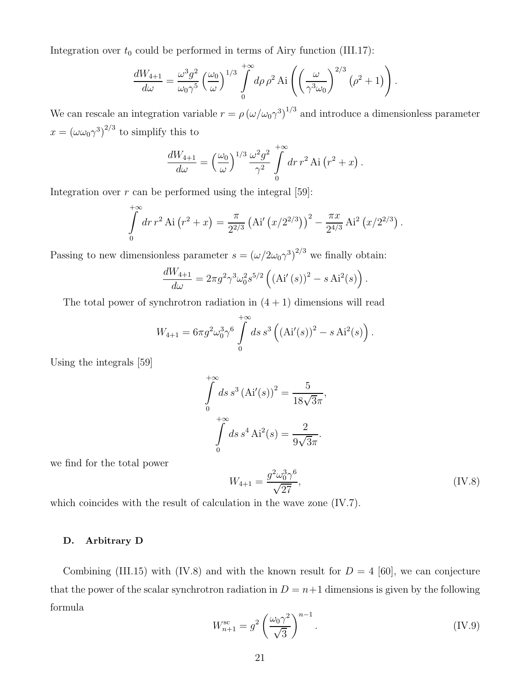Integration over  $t_0$  could be performed in terms of Airy function (III.17):

$$
\frac{dW_{4+1}}{d\omega} = \frac{\omega^3 g^2}{\omega_0 \gamma^5} \left(\frac{\omega_0}{\omega}\right)^{1/3} \int_0^{+\infty} d\rho \rho^2 \text{Ai}\left(\left(\frac{\omega}{\gamma^3 \omega_0}\right)^{2/3} \left(\rho^2 + 1\right)\right).
$$

We can rescale an integration variable  $r = \rho (\omega/\omega_0 \gamma^3)^{1/3}$  and introduce a dimensionless parameter  $x = (\omega \omega_0 \gamma^3)^{2/3}$  to simplify this to

$$
\frac{dW_{4+1}}{d\omega} = \left(\frac{\omega_0}{\omega}\right)^{1/3} \frac{\omega^2 g^2}{\gamma^2} \int\limits_0^{+\infty} dr \, r^2 \operatorname{Ai}\left(r^2 + x\right).
$$

Integration over  $r$  can be performed using the integral [59]:

$$
\int_{0}^{+\infty} dr \, r^2 \, \text{Ai}\left(r^2 + x\right) = \frac{\pi}{2^{2/3}} \left(\text{Ai}'\left(x/2^{2/3}\right)\right)^2 - \frac{\pi x}{2^{4/3}} \, \text{Ai}^2\left(x/2^{2/3}\right).
$$

Passing to new dimensionless parameter  $s = (\omega/2\omega_0\gamma^3)^{2/3}$  we finally obtain:

$$
\frac{dW_{4+1}}{d\omega} = 2\pi g^2 \gamma^3 \omega_0^2 s^{5/2} \left( (\text{Ai}'(s))^2 - s \text{ Ai}^2(s) \right).
$$

The total power of synchrotron radiation in  $(4 + 1)$  dimensions will read

$$
W_{4+1} = 6\pi g^2 \omega_0^3 \gamma^6 \int_0^{+\infty} ds \, s^3 \left( \left( \text{Ai}'(s) \right)^2 - s \, \text{Ai}^2(s) \right).
$$

Using the integrals [59]

$$
\int_{0}^{+\infty} ds \, s^{3} (\text{Ai}'(s))^{2} = \frac{5}{18\sqrt{3}\pi},
$$

$$
\int_{0}^{+\infty} ds \, s^{4} \, \text{Ai}^{2}(s) = \frac{2}{9\sqrt{3}\pi}.
$$

we find for the total power

$$
W_{4+1} = \frac{g^2 \omega_0^3 \gamma^6}{\sqrt{27}},\tag{IV.8}
$$

which coincides with the result of calculation in the wave zone  $(IV.7)$ .

### D. Arbitrary D

Combining (III.15) with (IV.8) and with the known result for  $D = 4$  [60], we can conjecture that the power of the scalar synchrotron radiation in  $D = n+1$  dimensions is given by the following formula

$$
W_{n+1}^{\text{sc}} = g^2 \left(\frac{\omega_0 \gamma^2}{\sqrt{3}}\right)^{n-1}.
$$
 (IV.9)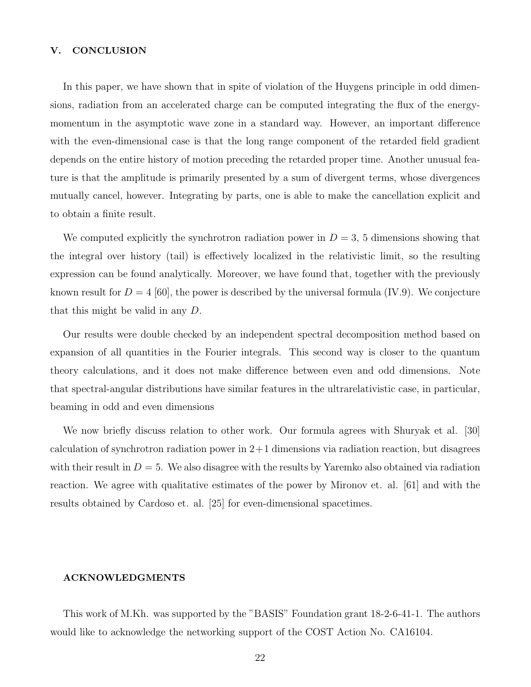### V. CONCLUSION

In this paper, we have shown that in spite of violation of the Huygens principle in odd dimensions, radiation from an accelerated charge can be computed integrating the flux of the energymomentum in the asymptotic wave zone in a standard way. However, an important difference with the even-dimensional case is that the long range component of the retarded field gradient depends on the entire history of motion preceding the retarded proper time. Another unusual feature is that the amplitude is primarily presented by a sum of divergent terms, whose divergences mutually cancel, however. Integrating by parts, one is able to make the cancellation explicit and to obtain a finite result.

We computed explicitly the synchrotron radiation power in  $D = 3$ , 5 dimensions showing that the integral over history (tail) is effectively localized in the relativistic limit, so the resulting expression can be found analytically. Moreover, we have found that, together with the previously known result for  $D = 4$  [60], the power is described by the universal formula (IV.9). We conjecture that this might be valid in any D.

Our results were double checked by an independent spectral decomposition method based on expansion of all quantities in the Fourier integrals. This second way is closer to the quantum theory calculations, and it does not make difference between even and odd dimensions. Note that spectral-angular distributions have similar features in the ultrarelativistic case, in particular, beaming in odd and even dimensions

We now briefly discuss relation to other work. Our formula agrees with Shuryak et al. [30] calculation of synchrotron radiation power in  $2+1$  dimensions via radiation reaction, but disagrees with their result in  $D = 5$ . We also disagree with the results by Yaremko also obtained via radiation reaction. We agree with qualitative estimates of the power by Mironov et. al. [61] and with the results obtained by Cardoso et. al. [25] for even-dimensional spacetimes.

### ACKNOWLEDGMENTS

This work of M.Kh. was supported by the "BASIS" Foundation grant 18-2-6-41-1. The authors would like to acknowledge the networking support of the COST Action No. CA16104.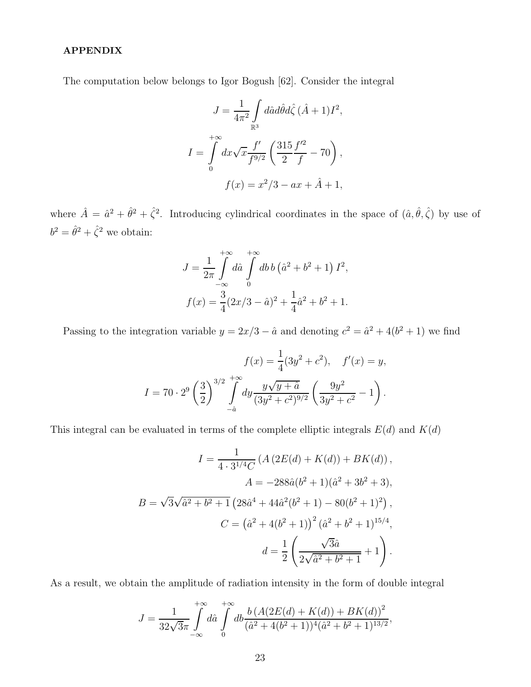### APPENDIX

The computation below belongs to Igor Bogush [62]. Consider the integral

$$
J = \frac{1}{4\pi^2} \int_{\mathbb{R}^3} d\hat{a} d\hat{\theta} d\hat{\zeta} (\hat{A} + 1) I^2,
$$
  

$$
I = \int_0^{+\infty} dx \sqrt{x} \frac{f'}{f^{9/2}} \left( \frac{315}{2} \frac{f'^2}{f} - 70 \right),
$$
  

$$
f(x) = x^2/3 - ax + \hat{A} + 1,
$$

where  $\hat{A} = \hat{a}^2 + \hat{\theta}^2 + \hat{\zeta}^2$ . Introducing cylindrical coordinates in the space of  $(\hat{a}, \hat{\theta}, \hat{\zeta})$  by use of  $b^2 = \hat{\theta}^2 + \hat{\zeta}^2$  we obtain:

$$
J = \frac{1}{2\pi} \int_{-\infty}^{+\infty} d\hat{a} \int_{0}^{+\infty} db \, b \left(\hat{a}^2 + b^2 + 1\right) I^2,
$$
  

$$
f(x) = \frac{3}{4} (2x/3 - \hat{a})^2 + \frac{1}{4} \hat{a}^2 + b^2 + 1.
$$

Passing to the integration variable  $y = 2x/3 - \hat{a}$  and denoting  $c^2 = \hat{a}^2 + 4(b^2 + 1)$  we find

$$
f(x) = \frac{1}{4}(3y^2 + c^2), \quad f'(x) = y,
$$
  

$$
I = 70 \cdot 2^9 \left(\frac{3}{2}\right)^{3/2} \int_{-\hat{a}}^{+\infty} dy \frac{y\sqrt{y + \hat{a}}}{(3y^2 + c^2)^{9/2}} \left(\frac{9y^2}{3y^2 + c^2} - 1\right).
$$

This integral can be evaluated in terms of the complete elliptic integrals  $E(d)$  and  $K(d)$ 

$$
I = \frac{1}{4 \cdot 3^{1/4}C} \left( A \left( 2E(d) + K(d) \right) + BK(d) \right),
$$
  
\n
$$
A = -288\hat{a}(b^2 + 1)(\hat{a}^2 + 3b^2 + 3),
$$
  
\n
$$
B = \sqrt{3}\sqrt{\hat{a}^2 + b^2 + 1} \left( 28\hat{a}^4 + 44\hat{a}^2(b^2 + 1) - 80(b^2 + 1)^2 \right),
$$
  
\n
$$
C = \left( \hat{a}^2 + 4(b^2 + 1) \right)^2 (\hat{a}^2 + b^2 + 1)^{15/4},
$$
  
\n
$$
d = \frac{1}{2} \left( \frac{\sqrt{3}\hat{a}}{2\sqrt{\hat{a}^2 + b^2 + 1}} + 1 \right).
$$

As a result, we obtain the amplitude of radiation intensity in the form of double integral

$$
J = \frac{1}{32\sqrt{3}\pi} \int_{-\infty}^{+\infty} d\hat{a} \int_{0}^{+\infty} db \frac{b (A(2E(d) + K(d)) + BK(d))^2}{(\hat{a}^2 + 4(b^2 + 1))^4 (\hat{a}^2 + b^2 + 1)^{13/2}},
$$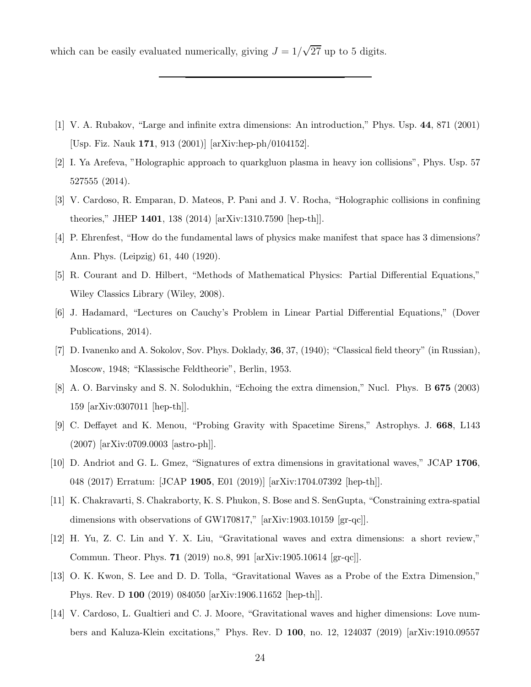which can be easily evaluated numerically, giving  $J = 1/\sqrt{27}$  up to 5 digits.

- [1] V. A. Rubakov, "Large and infinite extra dimensions: An introduction," Phys. Usp. 44, 871 (2001) [Usp. Fiz. Nauk 171, 913 (2001)] [arXiv:hep-ph/0104152].
- [2] I. Ya Arefeva, "Holographic approach to quarkgluon plasma in heavy ion collisions", Phys. Usp. 57 527555 (2014).
- [3] V. Cardoso, R. Emparan, D. Mateos, P. Pani and J. V. Rocha, "Holographic collisions in confining theories," JHEP 1401, 138 (2014) [arXiv:1310.7590 [hep-th]].
- [4] P. Ehrenfest, "How do the fundamental laws of physics make manifest that space has 3 dimensions? Ann. Phys. (Leipzig) 61, 440 (1920).
- [5] R. Courant and D. Hilbert, "Methods of Mathematical Physics: Partial Differential Equations," Wiley Classics Library (Wiley, 2008).
- [6] J. Hadamard, "Lectures on Cauchy's Problem in Linear Partial Differential Equations," (Dover Publications, 2014).
- [7] D. Ivanenko and A. Sokolov, Sov. Phys. Doklady, 36, 37, (1940); "Classical field theory" (in Russian), Moscow, 1948; "Klassische Feldtheorie", Berlin, 1953.
- [8] A. O. Barvinsky and S. N. Solodukhin, "Echoing the extra dimension," Nucl. Phys. B 675 (2003) 159 [arXiv:0307011 [hep-th]].
- [9] C. Deffayet and K. Menou, "Probing Gravity with Spacetime Sirens," Astrophys. J. 668, L143 (2007) [arXiv:0709.0003 [astro-ph]].
- [10] D. Andriot and G. L. Gmez, "Signatures of extra dimensions in gravitational waves," JCAP 1706, 048 (2017) Erratum: [JCAP 1905, E01 (2019)] [arXiv:1704.07392 [hep-th]].
- [11] K. Chakravarti, S. Chakraborty, K. S. Phukon, S. Bose and S. SenGupta, "Constraining extra-spatial dimensions with observations of GW170817," [arXiv:1903.10159 [gr-qc]].
- [12] H. Yu, Z. C. Lin and Y. X. Liu, "Gravitational waves and extra dimensions: a short review," Commun. Theor. Phys. 71 (2019) no.8, 991 [arXiv:1905.10614 [gr-qc]].
- [13] O. K. Kwon, S. Lee and D. D. Tolla, "Gravitational Waves as a Probe of the Extra Dimension," Phys. Rev. D 100 (2019) 084050 [arXiv:1906.11652 [hep-th]].
- [14] V. Cardoso, L. Gualtieri and C. J. Moore, "Gravitational waves and higher dimensions: Love numbers and Kaluza-Klein excitations," Phys. Rev. D 100, no. 12, 124037 (2019) [arXiv:1910.09557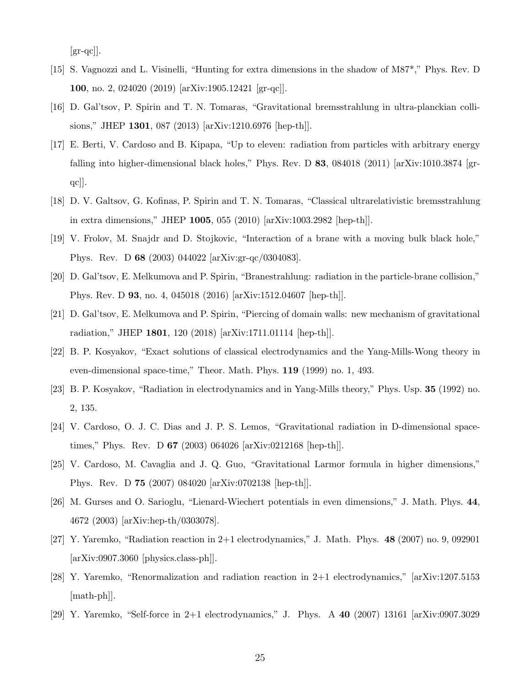$\left[\text{gr-qc}\right]$ .

- [15] S. Vagnozzi and L. Visinelli, "Hunting for extra dimensions in the shadow of M87\*," Phys. Rev. D 100, no. 2, 024020 (2019) [arXiv:1905.12421 [gr-qc]].
- [16] D. Gal'tsov, P. Spirin and T. N. Tomaras, "Gravitational bremsstrahlung in ultra-planckian collisions," JHEP 1301, 087 (2013) [arXiv:1210.6976 [hep-th]].
- [17] E. Berti, V. Cardoso and B. Kipapa, "Up to eleven: radiation from particles with arbitrary energy falling into higher-dimensional black holes," Phys. Rev. D  $83$ , 084018 (2011) [arXiv:1010.3874 [grqc]].
- [18] D. V. Galtsov, G. Kofinas, P. Spirin and T. N. Tomaras, "Classical ultrarelativistic bremsstrahlung in extra dimensions," JHEP 1005, 055 (2010) [arXiv:1003.2982 [hep-th]].
- [19] V. Frolov, M. Snajdr and D. Stojkovic, "Interaction of a brane with a moving bulk black hole," Phys. Rev. D 68 (2003) 044022 [arXiv:gr-qc/0304083].
- [20] D. Gal'tsov, E. Melkumova and P. Spirin, "Branestrahlung: radiation in the particle-brane collision," Phys. Rev. D 93, no. 4, 045018 (2016) [arXiv:1512.04607 [hep-th]].
- [21] D. Gal'tsov, E. Melkumova and P. Spirin, "Piercing of domain walls: new mechanism of gravitational radiation," JHEP 1801, 120 (2018) [arXiv:1711.01114 [hep-th]].
- [22] B. P. Kosyakov, "Exact solutions of classical electrodynamics and the Yang-Mills-Wong theory in even-dimensional space-time," Theor. Math. Phys. 119 (1999) no. 1, 493.
- [23] B. P. Kosyakov, "Radiation in electrodynamics and in Yang-Mills theory," Phys. Usp. 35 (1992) no. 2, 135.
- [24] V. Cardoso, O. J. C. Dias and J. P. S. Lemos, "Gravitational radiation in D-dimensional spacetimes," Phys. Rev. D 67 (2003) 064026 [arXiv:0212168 [hep-th]].
- [25] V. Cardoso, M. Cavaglia and J. Q. Guo, "Gravitational Larmor formula in higher dimensions," Phys. Rev. D 75 (2007) 084020 [arXiv:0702138 [hep-th]].
- [26] M. Gurses and O. Sarioglu, "Lienard-Wiechert potentials in even dimensions," J. Math. Phys. 44, 4672 (2003) [arXiv:hep-th/0303078].
- [27] Y. Yaremko, "Radiation reaction in 2+1 electrodynamics," J. Math. Phys. 48 (2007) no. 9, 092901 [arXiv:0907.3060 [physics.class-ph]].
- [28] Y. Yaremko, "Renormalization and radiation reaction in 2+1 electrodynamics," [arXiv:1207.5153 [math-ph]].
- [29] Y. Yaremko, "Self-force in 2+1 electrodynamics," J. Phys. A 40 (2007) 13161 [arXiv:0907.3029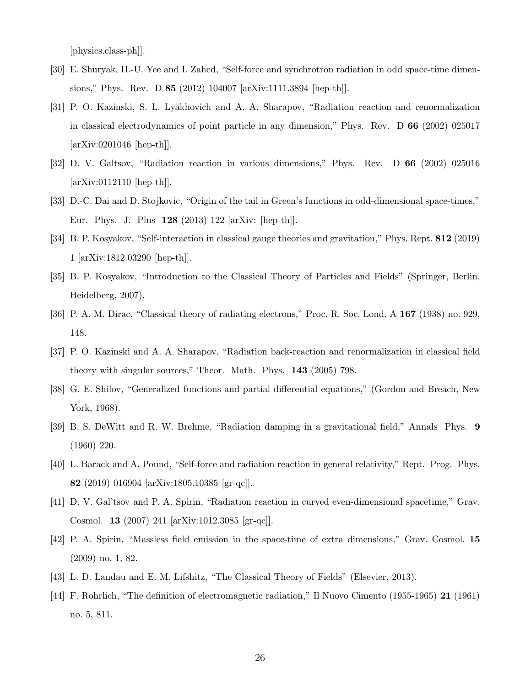[physics.class-ph]].

- [30] E. Shuryak, H.-U. Yee and I. Zahed, "Self-force and synchrotron radiation in odd space-time dimensions," Phys. Rev. D 85 (2012) 104007 [arXiv:1111.3894 [hep-th]].
- [31] P. O. Kazinski, S. L. Lyakhovich and A. A. Sharapov, "Radiation reaction and renormalization in classical electrodynamics of point particle in any dimension," Phys. Rev. D 66 (2002) 025017 [arXiv:0201046 [hep-th]].
- [32] D. V. Galtsov, "Radiation reaction in various dimensions," Phys. Rev. D 66 (2002) 025016 [arXiv:0112110 [hep-th]].
- [33] D.-C. Dai and D. Stojkovic, "Origin of the tail in Green's functions in odd-dimensional space-times," Eur. Phys. J. Plus 128 (2013) 122 [arXiv: [hep-th]].
- [34] B. P. Kosyakov, "Self-interaction in classical gauge theories and gravitation," Phys. Rept. 812 (2019) 1 [arXiv:1812.03290 [hep-th]].
- [35] B. P. Kosyakov, "Introduction to the Classical Theory of Particles and Fields" (Springer, Berlin, Heidelberg, 2007).
- [36] P. A. M. Dirac, "Classical theory of radiating electrons," Proc. R. Soc. Lond. A 167 (1938) no. 929, 148.
- [37] P. O. Kazinski and A. A. Sharapov, "Radiation back-reaction and renormalization in classical field theory with singular sources," Theor. Math. Phys. 143 (2005) 798.
- [38] G. E. Shilov, "Generalized functions and partial differential equations," (Gordon and Breach, New York, 1968).
- [39] B. S. DeWitt and R. W. Brehme, "Radiation damping in a gravitational field," Annals Phys. 9 (1960) 220.
- [40] L. Barack and A. Pound, "Self-force and radiation reaction in general relativity," Rept. Prog. Phys. 82 (2019) 016904 [arXiv:1805.10385 [gr-qc]].
- [41] D. V. Gal'tsov and P. A. Spirin, "Radiation reaction in curved even-dimensional spacetime," Grav. Cosmol. 13 (2007) 241 [arXiv:1012.3085 [gr-qc]].
- [42] P. A. Spirin, "Massless field emission in the space-time of extra dimensions," Grav. Cosmol. 15 (2009) no. 1, 82.
- [43] L. D. Landau and E. M. Lifshitz, "The Classical Theory of Fields" (Elsevier, 2013).
- [44] F. Rohrlich, "The definition of electromagnetic radiation," Il Nuovo Cimento (1955-1965) 21 (1961) no. 5, 811.